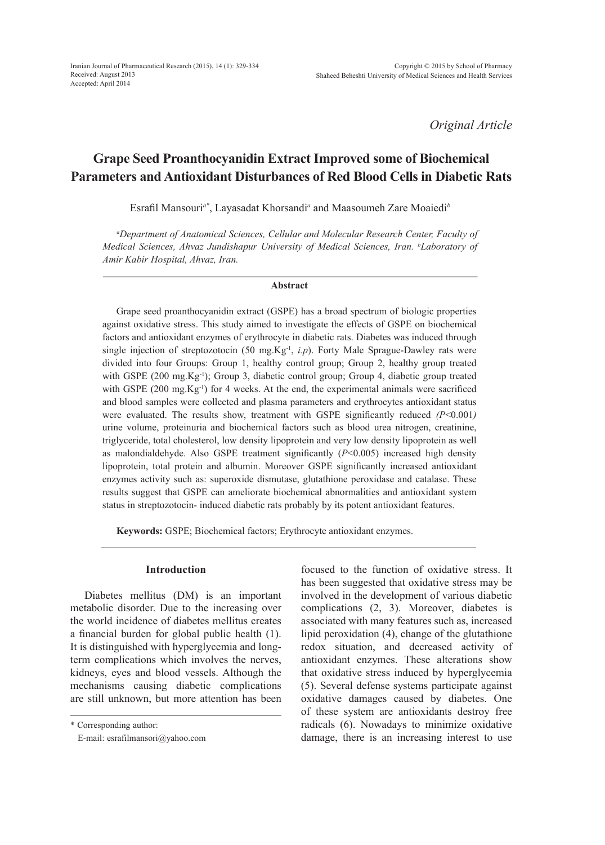*Original Article*

# **Grape Seed Proanthocyanidin Extract Improved some of Biochemical Parameters and Antioxidant Disturbances of Red Blood Cells in Diabetic Rats**

Esrafil Mansouri*a\**, Layasadat Khorsandi*<sup>a</sup>* and Maasoumeh Zare Moaiedi*<sup>b</sup>*

*a Department of Anatomical Sciences, Cellular and Molecular Research Center, Faculty of Medical Sciences, Ahvaz Jundishapur University of Medical Sciences, Iran. b Laboratory of Amir Kabir Hospital, Ahvaz, Iran.*

### **Abstract**

Grape seed proanthocyanidin extract (GSPE) has a broad spectrum of biologic properties against oxidative stress. This study aimed to investigate the effects of GSPE on biochemical factors and antioxidant enzymes of erythrocyte in diabetic rats. Diabetes was induced through single injection of streptozotocin (50 mg.Kg<sup>-1</sup>, *i.p*). Forty Male Sprague-Dawley rats were divided into four Groups: Group 1, healthy control group; Group 2, healthy group treated with GSPE (200 mg.Kg<sup>-1</sup>); Group 3, diabetic control group; Group 4, diabetic group treated with GSPE (200 mg.Kg<sup>-1</sup>) for 4 weeks. At the end, the experimental animals were sacrificed and blood samples were collected and plasma parameters and erythrocytes antioxidant status were evaluated. The results show, treatment with GSPE significantly reduced *(P*<0.001*)* urine volume, proteinuria and biochemical factors such as blood urea nitrogen, creatinine, triglyceride, total cholesterol, low density lipoprotein and very low density lipoprotein as well as malondialdehyde. Also GSPE treatment significantly (*P*<0.005) increased high density lipoprotein, total protein and albumin. Moreover GSPE significantly increased antioxidant enzymes activity such as: superoxide dismutase, glutathione peroxidase and catalase. These results suggest that GSPE can ameliorate biochemical abnormalities and antioxidant system status in streptozotocin- induced diabetic rats probably by its potent antioxidant features.

**Keywords:** GSPE; Biochemical factors; Erythrocyte antioxidant enzymes.

# **Introduction**

Diabetes mellitus (DM) is an important metabolic disorder. Due to the increasing over the world incidence of diabetes mellitus creates a financial burden for global public health (1). It is distinguished with hyperglycemia and longterm complications which involves the nerves, kidneys, eyes and blood vessels. Although the mechanisms causing diabetic complications are still unknown, but more attention has been

\* Corresponding author:

E-mail: esrafilmansori@yahoo.com

focused to the function of oxidative stress. It has been suggested that oxidative stress may be involved in the development of various diabetic complications (2, 3). Moreover, diabetes is associated with many features such as, increased lipid peroxidation (4), change of the glutathione redox situation, and decreased activity of antioxidant enzymes. These alterations show that oxidative stress induced by hyperglycemia (5). Several defense systems participate against oxidative damages caused by diabetes. One of these system are antioxidants destroy free radicals (6). Nowadays to minimize oxidative damage, there is an increasing interest to use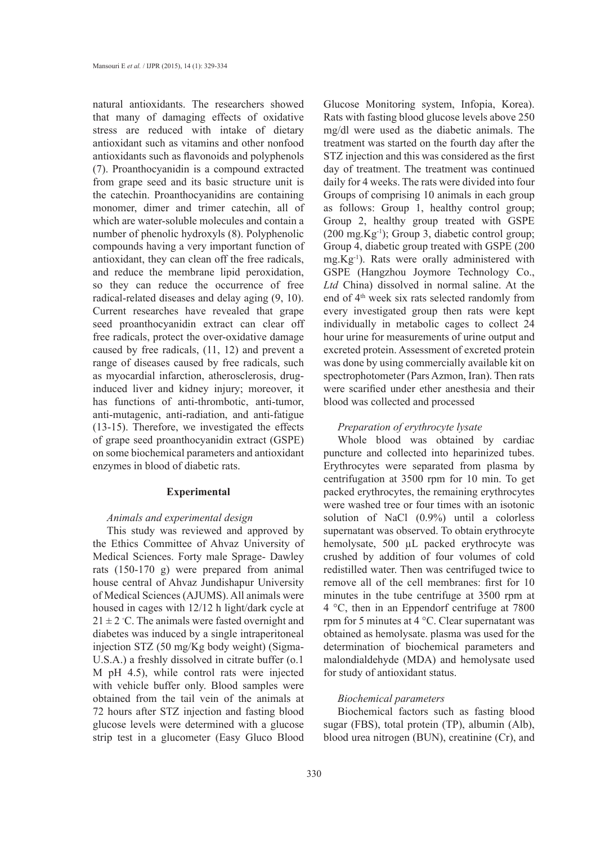natural antioxidants. The researchers showed that many of damaging effects of oxidative stress are reduced with intake of dietary antioxidant such as vitamins and other nonfood antioxidants such as flavonoids and polyphenols (7). Proanthocyanidin is a compound extracted from grape seed and its basic structure unit is the catechin. Proanthocyanidins are containing monomer, dimer and trimer catechin, all of which are water-soluble molecules and contain a number of phenolic hydroxyls (8). Polyphenolic compounds having a very important function of antioxidant, they can clean off the free radicals, and reduce the membrane lipid peroxidation, so they can reduce the occurrence of free radical-related diseases and delay aging (9, 10). Current researches have revealed that grape seed proanthocyanidin extract can clear off free radicals, protect the over-oxidative damage caused by free radicals, (11, 12) and prevent a range of diseases caused by free radicals, such as myocardial infarction, atherosclerosis, druginduced liver and kidney injury; moreover, it has functions of anti-thrombotic, anti-tumor, anti-mutagenic, anti-radiation, and anti-fatigue (13-15). Therefore, we investigated the effects of grape seed proanthocyanidin extract (GSPE) on some biochemical parameters and antioxidant enzymes in blood of diabetic rats.

# **Experimental**

# *Animals and experimental design*

This study was reviewed and approved by the Ethics Committee of Ahvaz University of Medical Sciences. Forty male Sprage- Dawley rats (150-170 g) were prepared from animal house central of Ahvaz Jundishapur University of Medical Sciences (AJUMS). All animals were housed in cages with 12/12 h light/dark cycle at  $21 \pm 2$  °C. The animals were fasted overnight and diabetes was induced by a single intraperitoneal injection STZ (50 mg/Kg body weight) (Sigma-U.S.A.) a freshly dissolved in citrate buffer (o.1 M pH 4.5), while control rats were injected with vehicle buffer only. Blood samples were obtained from the tail vein of the animals at 72 hours after STZ injection and fasting blood glucose levels were determined with a glucose strip test in a glucometer (Easy Gluco Blood

Glucose Monitoring system, Infopia, Korea). Rats with fasting blood glucose levels above 250 mg/dl were used as the diabetic animals. The treatment was started on the fourth day after the STZ injection and this was considered as the first day of treatment. The treatment was continued daily for 4 weeks. The rats were divided into four Groups of comprising 10 animals in each group as follows: Group 1, healthy control group; Group 2, healthy group treated with GSPE  $(200 \text{ mg.Kg}^{-1})$ ; Group 3, diabetic control group; Group 4, diabetic group treated with GSPE (200 mg.Kg-1). Rats were orally administered with GSPE (Hangzhou Joymore Technology Co., *Ltd* China) dissolved in normal saline. At the end of  $4<sup>th</sup>$  week six rats selected randomly from every investigated group then rats were kept individually in metabolic cages to collect 24 hour urine for measurements of urine output and excreted protein. Assessment of excreted protein was done by using commercially available kit on spectrophotometer (Pars Azmon, Iran). Then rats were scarified under ether anesthesia and their blood was collected and processed

### *Preparation of erythrocyte lysate*

Whole blood was obtained by cardiac puncture and collected into heparinized tubes. Erythrocytes were separated from plasma by centrifugation at 3500 rpm for 10 min. To get packed erythrocytes, the remaining erythrocytes were washed tree or four times with an isotonic solution of NaCl (0.9%) until a colorless supernatant was observed. To obtain erythrocyte hemolysate, 500 µL packed erythrocyte was crushed by addition of four volumes of cold redistilled water. Then was centrifuged twice to remove all of the cell membranes: first for 10 minutes in the tube centrifuge at 3500 rpm at 4 °C, then in an Eppendorf centrifuge at 7800 rpm for 5 minutes at 4 °C. Clear supernatant was obtained as hemolysate. plasma was used for the determination of biochemical parameters and malondialdehyde (MDA) and hemolysate used for study of antioxidant status.

# *Biochemical parameters*

Biochemical factors such as fasting blood sugar (FBS), total protein (TP), albumin (Alb), blood urea nitrogen (BUN), creatinine (Cr), and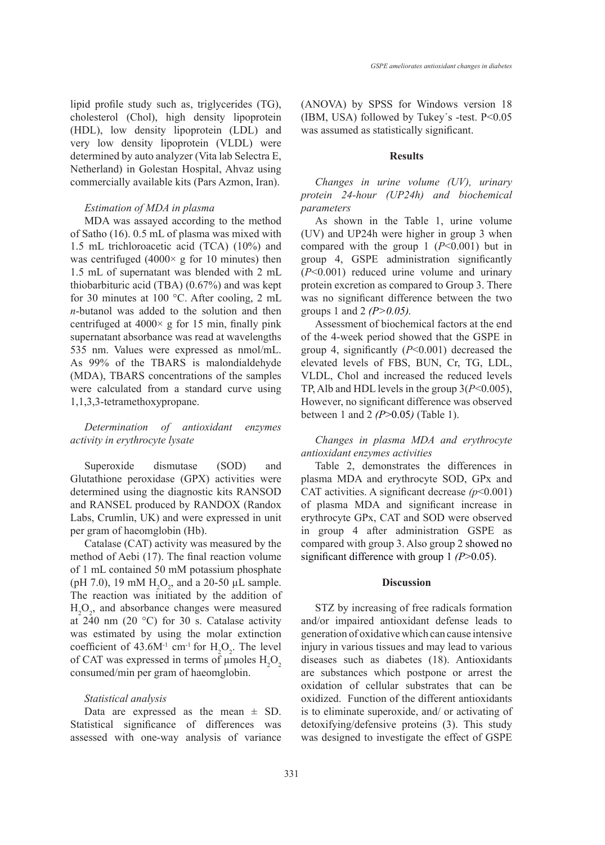lipid profile study such as, triglycerides (TG), cholesterol (Chol), high density lipoprotein (HDL), low density lipoprotein (LDL) and very low density lipoprotein (VLDL) were determined by auto analyzer (Vita lab Selectra E, Netherland) in Golestan Hospital, Ahvaz using commercially available kits (Pars Azmon, Iran).

# *Estimation of MDA in plasma*

MDA was assayed according to the method of Satho (16). 0.5 mL of plasma was mixed with 1.5 mL trichloroacetic acid (TCA) (10%) and was centrifuged  $(4000 \times g)$  for 10 minutes) then 1.5 mL of supernatant was blended with 2 mL thiobarbituric acid (TBA) (0.67%) and was kept for 30 minutes at 100 °C. After cooling, 2 mL *n*-butanol was added to the solution and then centrifuged at  $4000 \times g$  for 15 min, finally pink supernatant absorbance was read at wavelengths 535 nm. Values were expressed as nmol/mL. As 99% of the TBARS is malondialdehyde (MDA), TBARS concentrations of the samples were calculated from a standard curve using 1,1,3,3-tetramethoxypropane.

# *Determination of antioxidant enzymes activity in erythrocyte lysate*

Superoxide dismutase (SOD) and Glutathione peroxidase (GPX) activities were determined using the diagnostic kits RANSOD and RANSEL produced by RANDOX (Randox Labs, Crumlin, UK) and were expressed in unit per gram of haeomglobin (Hb).

Catalase (CAT) activity was measured by the method of Aebi (17). The final reaction volume of 1 mL contained 50 mM potassium phosphate (pH 7.0), 19 mM  $H_2O_2$ , and a 20-50 µL sample. The reaction was initiated by the addition of  $H_2O_2$ , and absorbance changes were measured at  $240$  nm (20 °C) for 30 s. Catalase activity was estimated by using the molar extinction coefficient of  $43.6M<sup>-1</sup>$  cm<sup>-1</sup> for  $H<sub>2</sub>O<sub>2</sub>$ . The level of CAT was expressed in terms of  $\mu$ moles  $H_2O_2$ consumed/min per gram of haeomglobin.

### *Statistical analysis*

Data are expressed as the mean  $\pm$  SD. Statistical significance of differences was assessed with one-way analysis of variance (ANOVA) by SPSS for Windows version 18 (IBM, USA) followed by Tukey's -test.  $P < 0.05$ was assumed as statistically significant.

### **Results**

*Changes in urine volume (UV), urinary protein 24-hour (UP24h) and biochemical parameters*

As shown in the Table 1, urine volume (UV) and UP24h were higher in group 3 when compared with the group 1 (*P*<0.001) but in group 4, GSPE administration significantly (*P*<0.001) reduced urine volume and urinary protein excretion as compared to Group 3. There was no significant difference between the two groups 1 and 2 *(P>0.05).*

Assessment of biochemical factors at the end of the 4-week period showed that the GSPE in group 4, significantly (*P*<0.001) decreased the elevated levels of FBS, BUN, Cr, TG, LDL, VLDL, Chol and increased the reduced levels TP, Alb and HDL levels in the group 3(*P*<0.005), However, no significant difference was observed between 1 and 2 *(P*>0.05*)* (Table 1).

# *Changes in plasma MDA and erythrocyte antioxidant enzymes activities*

Table 2, demonstrates the differences in plasma MDA and erythrocyte SOD, GPx and CAT activities. A significant decrease  $(p<0.001)$ of plasma MDA and significant increase in erythrocyte GPx, CAT and SOD were observed in group 4 after administration GSPE as compared with group 3. Also group 2 showed no significant difference with group 1 *(P*>0.05).

### **Discussion**

STZ by increasing of free radicals formation and/or impaired antioxidant defense leads to generation of oxidative which can cause intensive injury in various tissues and may lead to various diseases such as diabetes (18). Antioxidants are substances which postpone or arrest the oxidation of cellular substrates that can be oxidized. Function of the different antioxidants is to eliminate superoxide, and/ or activating of detoxifying/defensive proteins (3). This study was designed to investigate the effect of GSPE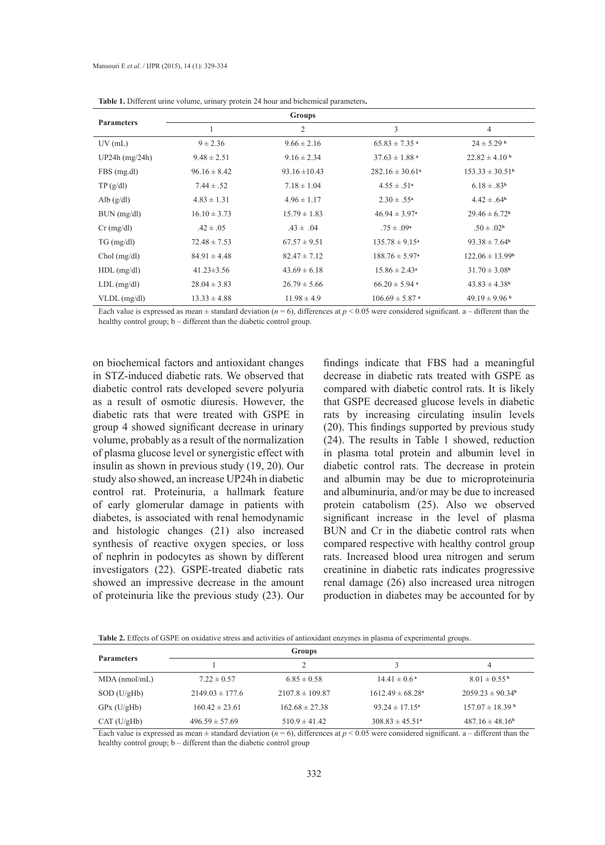| <b>Parameters</b> |                  | <b>Groups</b>     |                                |                               |
|-------------------|------------------|-------------------|--------------------------------|-------------------------------|
|                   |                  | $\overline{2}$    | 3                              | $\overline{4}$                |
| $UV$ (mL)         | $9 \pm 2.36$     | $9.66 \pm 2.16$   | $65.83 \pm 7.35$ <sup>a</sup>  | $24 \pm 5.29$ b               |
| $UP24h$ (mg/24h)  | $9.48 \pm 2.51$  | $9.16 \pm 2.34$   | $37.63 \pm 1.88$ <sup>a</sup>  | $22.82 \pm 4.10^{b}$          |
| FBS (mg.dl)       | $96.16 \pm 8.42$ | $93.16 \pm 10.43$ | $282.16 \pm 30.61^{\circ}$     | $153.33 \pm 30.51^{\rm b}$    |
| TP(g/dl)          | $7.44 \pm .52$   | $7.18 \pm 1.04$   | $4.55 \pm .51^a$               | $6.18 \pm .83^{b}$            |
| Alb $(g/dl)$      | $4.83 \pm 1.31$  | $4.96 \pm 1.17$   | $2.30 \pm .55^a$               | $4.42 \pm .64^b$              |
| BUN (mg/dl)       | $16.10 \pm 3.73$ | $15.79 \pm 1.83$  | $46.94 \pm 3.97^{\circ}$       | $29.46 \pm 6.72$ <sup>b</sup> |
| $Cr$ (mg/dl)      | $.42 \pm .05$    | $.43 \pm .04$     | $.75 \pm .09^{\rm a}$          | $.50 \pm .02^b$               |
| $TG \, (mg/dl)$   | $72.48 \pm 7.53$ | $67.57 \pm 9.51$  | $135.78 \pm 9.15^a$            | $93.38 \pm 7.64$ <sup>b</sup> |
| $Chol$ (mg/dl)    | $84.91 \pm 4.48$ | $82.47 \pm 7.12$  | $188.76 \pm 5.97^{\circ}$      | $122.06 \pm 13.99^{\rm b}$    |
| $HDL$ (mg/dl)     | $41.23 \pm 3.56$ | $43.69 \pm 6.18$  | $15.86 \pm 2.43^a$             | $31.70 \pm 3.08^b$            |
| $LDL$ (mg/dl)     | $28.04 \pm 3.83$ | $26.79 \pm 5.66$  | $66.20 \pm 5.94$ <sup>a</sup>  | $43.83 \pm 4.38^b$            |
| $VLDL$ (mg/dl)    | $13.33 \pm 4.88$ | $11.98 \pm 4.9$   | $106.69 \pm 5.87$ <sup>a</sup> | $49.19 \pm 9.96$ <sup>b</sup> |

**Table 1.** Different urine volume, urinary protein 24 hour and bichemical parameters**.** 

Each value is expressed as mean  $\pm$  standard deviation ( $n = 6$ ), differences at  $p < 0.05$  were considered significant. a – different than the healthy control group;  $b -$  different than the diabetic control group.

on biochemical factors and antioxidant changes in STZ-induced diabetic rats. We observed that diabetic control rats developed severe polyuria as a result of osmotic diuresis. However, the diabetic rats that were treated with GSPE in group 4 showed significant decrease in urinary volume, probably as a result of the normalization of plasma glucose level or synergistic effect with insulin as shown in previous study (19, 20). Our study also showed, an increase UP24h in diabetic control rat. Proteinuria, a hallmark feature of early glomerular damage in patients with diabetes, is associated with renal hemodynamic and histologic changes (21) also increased synthesis of reactive oxygen species, or loss of nephrin in podocytes as shown by different investigators (22). GSPE-treated diabetic rats showed an impressive decrease in the amount of proteinuria like the previous study (23). Our

findings indicate that FBS had a meaningful decrease in diabetic rats treated with GSPE as compared with diabetic control rats. It is likely that GSPE decreased glucose levels in diabetic rats by increasing circulating insulin levels (20). This findings supported by previous study (24). The results in Table 1 showed, reduction in plasma total protein and albumin level in diabetic control rats. The decrease in protein and albumin may be due to microproteinuria and albuminuria, and/or may be due to increased protein catabolism (25). Also we observed significant increase in the level of plasma BUN and Cr in the diabetic control rats when compared respective with healthy control group rats. Increased blood urea nitrogen and serum creatinine in diabetic rats indicates progressive renal damage (26) also increased urea nitrogen production in diabetes may be accounted for by

**Table 2.** Effects of GSPE on oxidative stress and activities of antioxidant enzymes in plasma of experimental groups.

| <b>Parameters</b> | Groups              |                     |                                  |                                 |
|-------------------|---------------------|---------------------|----------------------------------|---------------------------------|
|                   |                     |                     |                                  |                                 |
| $MDA$ (nmol/mL)   | $7.22 \pm 0.57$     | $6.85 \pm 0.58$     | $14.41 \pm 0.6^{\text{a}}$       | $8.01 \pm 0.55^{\mathrm{b}}$    |
| $SOD$ (U/gHb)     | $2149.03 \pm 177.6$ | $2107.8 \pm 109.87$ | $1612.49 \pm 68.28$ <sup>a</sup> | $2059.23 \pm 90.34^{\circ}$     |
| GPx (U/gHb)       | $160.42 \pm 23.61$  | $162.68 \pm 27.38$  | $93.24 \pm 17.15^a$              | $157.07 \pm 18.39$ <sup>b</sup> |
| CAT (U/gHb)       | $496.59 \pm 57.69$  | $510.9 \pm 41.42$   | $308.83 \pm 45.51^{\circ}$       | $487.16 \pm 48.16^b$            |

Each value is expressed as mean  $\pm$  standard deviation ( $n = 6$ ), differences at  $n \le 0.05$  were considered significant,  $a -$  different than the healthy control group; b – different than the diabetic control group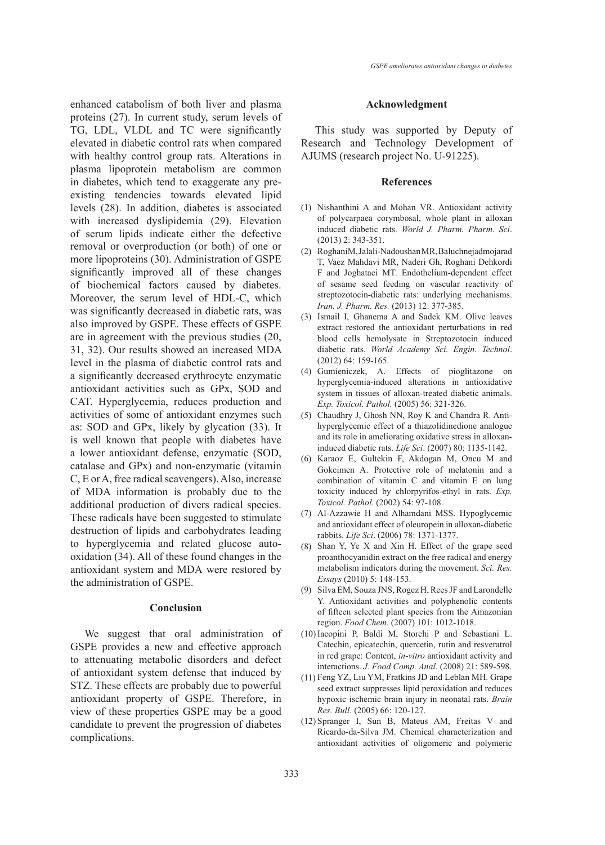enhanced catabolism of both liver and plasma proteins (27). In current study, serum levels of TG, LDL, VLDL and TC were significantly elevated in diabetic control rats when compared with healthy control group rats. Alterations in plasma lipoprotein metabolism are common in diabetes, which tend to exaggerate any preexisting tendencies towards elevated lipid levels (28). In addition, diabetes is associated with increased dyslipidemia (29). Elevation of serum lipids indicate either the defective removal or overproduction (or both) of one or more lipoproteins (30). Administration of GSPE significantly improved all of these changes of biochemical factors caused by diabetes. Moreover, the serum level of HDL-C, which was significantly decreased in diabetic rats, was also improved by GSPE. These effects of GSPE are in agreement with the previous studies (20, 31, 32). Our results showed an increased MDA level in the plasma of diabetic control rats and a significantly decreased erythrocyte enzymatic antioxidant activities such as GPx, SOD and CAT. Hyperglycemia, reduces production and activities of some of antioxidant enzymes such as: SOD and GPx, likely by glycation (33). It is well known that people with diabetes have a lower antioxidant defense, enzymatic (SOD, catalase and GPx) and non-enzymatic (vitamin C, E or A, free radical scavengers). Also, increase of MDA information is probably due to the additional production of divers radical species. These radicals have been suggested to stimulate destruction of lipids and carbohydrates leading to hyperglycemia and related glucose autooxidation (34). All of these found changes in the antioxidant system and MDA were restored by the administration of GSPE.

# **Conclusion**

We suggest that oral administration of GSPE provides a new and effective approach to attenuating metabolic disorders and defect of antioxidant system defense that induced by STZ. These effects are probably due to powerful antioxidant property of GSPE. Therefore, in view of these properties GSPE may be a good candidate to prevent the progression of diabetes complications.

### **Acknowledgment**

This study was supported by Deputy of Research and Technology Development of AJUMS (research project No. U-91225).

# **References**

- (1) Nishanthini A and Mohan VR. Antioxidant activity of polycarpaea corymbosal, whole plant in alloxan induced diabetic rats. *World J. Pharm. Pharm. Sci*. (2013) 2: 343-351.
- RoghaniM, Jalali-Nadoushan MR, Baluchnejadmojarad (2) T, Vaez Mahdavi MR, Naderi Gh, Roghani Dehkordi F and Joghataei MT. Endothelium-dependent effect of sesame seed feeding on vascular reactivity of streptozotocin-diabetic rats: underlying mechanisms. *Iran. J. Pharm. Res.* (2013) 12: 377-385.
- (3) Ismail I, Ghanema A and Sadek KM. Olive leaves extract restored the antioxidant perturbations in red blood cells hemolysate in Streptozotocin induced diabetic rats. *World Academy Sci. Engin. Technol*. (2012) 64: 159-165.
- Gumieniczek, A. Effects of pioglitazone on (4) hyperglycemia-induced alterations in antioxidative system in tissues of alloxan-treated diabetic animals. *Exp. Toxicol. Pathol.* (2005) 56: 321-326.
- Chaudhry J, Ghosh NN, Roy K and Chandra R. Anti-(5) hyperglycemic effect of a thiazolidinedione analogue and its role in ameliorating oxidative stress in alloxaninduced diabetic rats. *Life Sci*. (2007) 80: 1135-1142.
- (6) Karaoz E, Gultekin F, Akdogan M, Oncu M and Gokcimen A. Protective role of melatonin and a combination of vitamin C and vitamin E on lung toxicity induced by chlorpyrifos-ethyl in rats. *Exp. Toxicol. Pathol*. (2002) 54: 97-108.
- Al-Azzawie H and Alhamdani MSS. Hypoglycemic (7) and antioxidant effect of oleuropein in alloxan-diabetic rabbits. *Life Sci*. (2006) 78: 1371-1377.
- Shan Y, Ye X and Xin H. Effect of the grape seed (8) proanthocyanidin extract on the free radical and energy metabolism indicators during the movement. *Sci. Res. Essays* (2010) 5: 148-153.
- (9) Silva EM, Souza JNS, Rogez H, Rees JF and Larondelle Y. Antioxidant activities and polyphenolic contents of fifteen selected plant species from the Amazonian region. *Food Chem*. (2007) 101: 1012-1018.
- Iacopini P, Baldi M, Storchi P and Sebastiani L. (10) Catechin, epicatechin, quercetin, rutin and resveratrol in red grape: Content, *in-vitro* antioxidant activity and interactions. *J. Food Comp. Anal*. (2008) 21: 589-598.
- Feng YZ, Liu YM, Fratkins JD and Leblan MH. Grape (11) seed extract suppresses lipid peroxidation and reduces hypoxic ischemic brain injury in neonatal rats. *Brain Res. Bull.* (2005) 66: 120-127.
- (12) Spranger I, Sun B, Mateus AM, Freitas V and Ricardo-da-Silva JM. Chemical characterization and antioxidant activities of oligomeric and polymeric